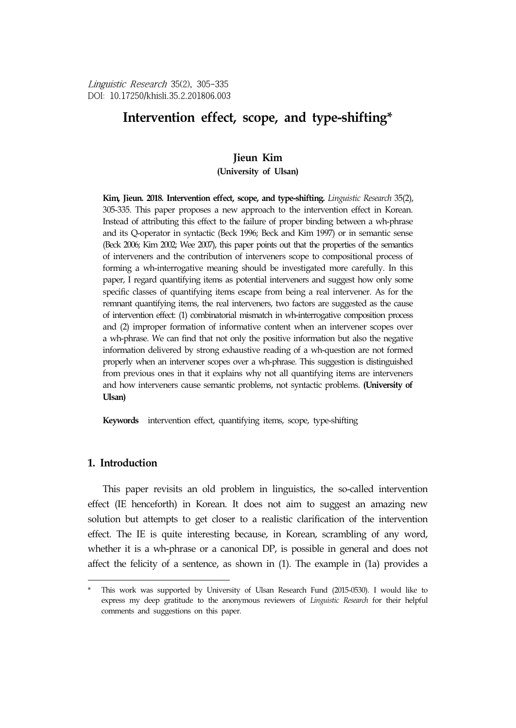Linguistic Research 35(2), 305-335 DOI: 10.17250/khisli.35.2.201806.003

# **Intervention effect, scope, and type-shifting\***<sup>6</sup>

## **Jieun Kim**

**(University of Ulsan)**

**Kim, Jieun. 2018. Intervention effect, scope, and type-shifting.** *Linguistic Research* 35(2), 305-335. This paper proposes a new approach to the intervention effect in Korean. Instead of attributing this effect to the failure of proper binding between a wh-phrase and its Q-operator in syntactic (Beck 1996; Beck and Kim 1997) or in semantic sense (Beck 2006; Kim 2002; Wee 2007), this paper points out that the properties of the semantics of interveners and the contribution of interveners scope to compositional process of forming a wh-interrogative meaning should be investigated more carefully. In this paper, I regard quantifying items as potential interveners and suggest how only some specific classes of quantifying items escape from being a real intervener. As for the remnant quantifying items, the real interveners, two factors are suggested as the cause of intervention effect: (1) combinatorial mismatch in wh-interrogative composition process and (2) improper formation of informative content when an intervener scopes over a wh-phrase. We can find that not only the positive information but also the negative information delivered by strong exhaustive reading of a wh-question are not formed properly when an intervener scopes over a wh-phrase. This suggestion is distinguished from previous ones in that it explains why not all quantifying items are interveners and how interveners cause semantic problems, not syntactic problems. **(University of Ulsan)**

**Keywords** intervention effect, quantifying items, scope, type-shifting

## **1. Introduction**

This paper revisits an old problem in linguistics, the so-called intervention effect (IE henceforth) in Korean. It does not aim to suggest an amazing new solution but attempts to get closer to a realistic clarification of the intervention effect. The IE is quite interesting because, in Korean, scrambling of any word, whether it is a wh-phrase or a canonical DP, is possible in general and does not affect the felicity of a sentence, as shown in (1). The example in (1a) provides a

<sup>\*</sup> This work was supported by University of Ulsan Research Fund (2015-0530). I would like to express my deep gratitude to the anonymous reviewers of *Linguistic Research* for their helpful comments and suggestions on this paper.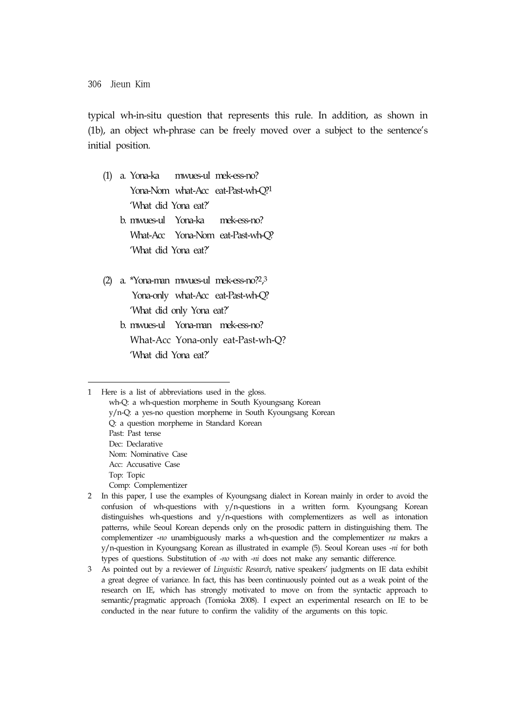typical wh-in-situ question that represents this rule. In addition, as shown in (1b), an object wh-phrase can be freely moved over a subject to the sentence's initial position.

- (1) a. Yona-ka mwues-ul mek-ess-no? Yona-Nom what-Acc eat-Past-wh-Q?1 'What did Yona eat?' b. mwues-ul Yona-ka mek-ess-no?
	- What-Acc Yona-Nom eat-Past-wh-Q? 'What did Yona eat?'
- (2) a. \*Yona-man mwues-ul mek-ess-no?2, 3 Yona-only what-Acc eat-Past-wh-Q? 'What did only Yona eat?' b. mwues-ul Yona-man mek-ess-no?
	- What-Acc Yona-only eat-Past-wh-Q? 'What did Yona eat?'

1 Here is a list of abbreviations used in the gloss. wh-Q: a wh-question morpheme in South Kyoungsang Korean y/n-Q: a yes-no question morpheme in South Kyoungsang Korean Q: a question morpheme in Standard Korean Past: Past tense Dec: Declarative Nom: Nominative Case Acc: Accusative Case Top: Topic Comp: Complementizer

2 In this paper, I use the examples of Kyoungsang dialect in Korean mainly in order to avoid the confusion of wh-questions with y/n-questions in a written form. Kyoungsang Korean distinguishes wh-questions and y/n-questions with complementizers as well as intonation patterns, while Seoul Korean depends only on the prosodic pattern in distinguishing them. The complementizer -*no* unambiguously marks a wh-question and the complementizer *na* makrs a y/n-question in Kyoungsang Korean as illustrated in example (5). Seoul Korean uses *-ni* for both types of questions. Substitution of *-no* with *-ni* does not make any semantic difference.

3 As pointed out by a reviewer of *Linguistic Research*, native speakers' judgments on IE data exhibit a great degree of variance. In fact, this has been continuously pointed out as a weak point of the research on IE, which has strongly motivated to move on from the syntactic approach to semantic/pragmatic approach (Tomioka 2008). I expect an experimental research on IE to be conducted in the near future to confirm the validity of the arguments on this topic.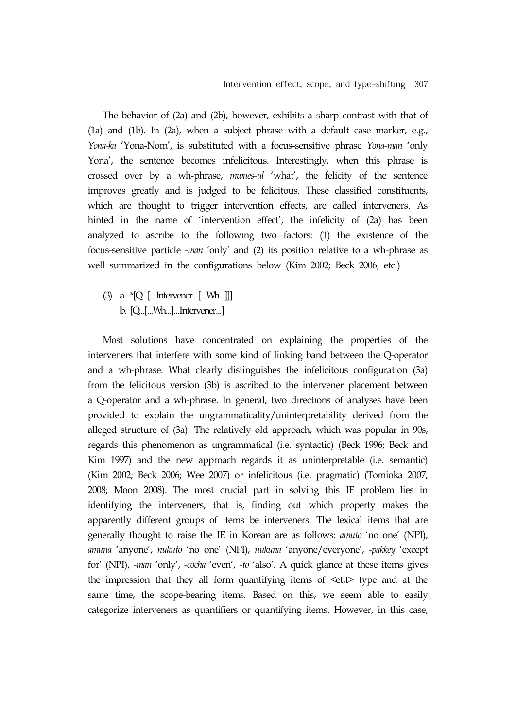The behavior of (2a) and (2b), however, exhibits a sharp contrast with that of (1a) and (1b). In (2a), when a subject phrase with a default case marker, e.g., *Yona-ka* 'Yona-Nom', is substituted with a focus-sensitive phrase *Yona-man* 'only Yona', the sentence becomes infelicitous. Interestingly, when this phrase is crossed over by a wh-phrase, *mwues-ul* 'what', the felicity of the sentence improves greatly and is judged to be felicitous. These classified constituents, which are thought to trigger intervention effects, are called interveners. As hinted in the name of 'intervention effect', the infelicity of (2a) has been analyzed to ascribe to the following two factors: (1) the existence of the focus-sensitive particle *-man* 'only' and (2) its position relative to a wh-phrase as well summarized in the configurations below (Kim 2002; Beck 2006, etc.)

(3) a. \*[Q...[...Intervener...[...Wh...]]] b. [Q...[...Wh...]...Intervener...]

Most solutions have concentrated on explaining the properties of the interveners that interfere with some kind of linking band between the Q-operator and a wh-phrase. What clearly distinguishes the infelicitous configuration (3a) from the felicitous version (3b) is ascribed to the intervener placement between a Q-operator and a wh-phrase. In general, two directions of analyses have been provided to explain the ungrammaticality/uninterpretability derived from the alleged structure of (3a). The relatively old approach, which was popular in 90s, regards this phenomenon as ungrammatical (i.e. syntactic) (Beck 1996; Beck and Kim 1997) and the new approach regards it as uninterpretable (i.e. semantic) (Kim 2002; Beck 2006; Wee 2007) or infelicitous (i.e. pragmatic) (Tomioka 2007, 2008; Moon 2008). The most crucial part in solving this IE problem lies in identifying the interveners, that is, finding out which property makes the apparently different groups of items be interveners. The lexical items that are generally thought to raise the IE in Korean are as follows: *amuto* 'no one' (NPI), *amuna* 'anyone', *nukuto* 'no one' (NPI), *nukuna* 'anyone/everyone', *-pakkey* 'except for' (NPI), *-man* 'only', *-cocha* 'even', *-to* 'also'. A quick glance at these items gives the impression that they all form quantifying items of  $\leq t$ , type and at the same time, the scope-bearing items. Based on this, we seem able to easily categorize interveners as quantifiers or quantifying items. However, in this case,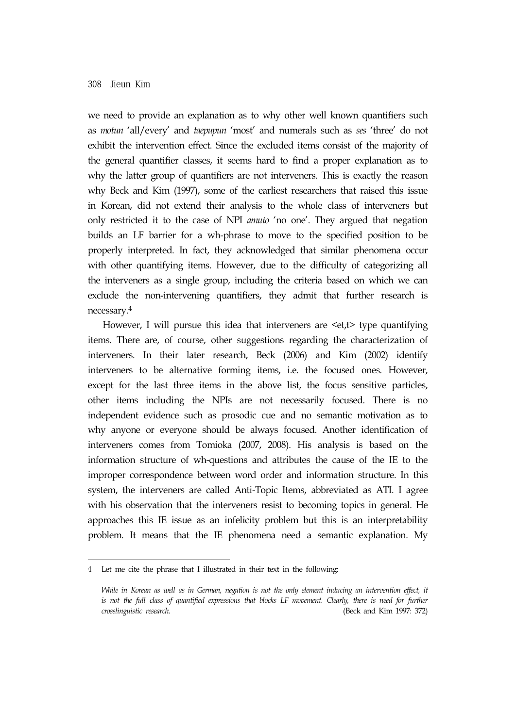we need to provide an explanation as to why other well known quantifiers such as *motun* 'all/every' and *taepupun* 'most' and numerals such as *ses* 'three' do not exhibit the intervention effect. Since the excluded items consist of the majority of the general quantifier classes, it seems hard to find a proper explanation as to why the latter group of quantifiers are not interveners. This is exactly the reason why Beck and Kim (1997), some of the earliest researchers that raised this issue in Korean, did not extend their analysis to the whole class of interveners but only restricted it to the case of NPI *amuto* 'no one'. They argued that negation builds an LF barrier for a wh-phrase to move to the specified position to be properly interpreted. In fact, they acknowledged that similar phenomena occur with other quantifying items. However, due to the difficulty of categorizing all the interveners as a single group, including the criteria based on which we can exclude the non-intervening quantifiers, they admit that further research is necessary.4

However, I will pursue this idea that interveners are <et,t> type quantifying items. There are, of course, other suggestions regarding the characterization of interveners. In their later research, Beck (2006) and Kim (2002) identify interveners to be alternative forming items, i.e. the focused ones. However, except for the last three items in the above list, the focus sensitive particles, other items including the NPIs are not necessarily focused. There is no independent evidence such as prosodic cue and no semantic motivation as to why anyone or everyone should be always focused. Another identification of interveners comes from Tomioka (2007, 2008). His analysis is based on the information structure of wh-questions and attributes the cause of the IE to the improper correspondence between word order and information structure. In this system, the interveners are called Anti-Topic Items, abbreviated as ATI. I agree with his observation that the interveners resist to becoming topics in general. He approaches this IE issue as an infelicity problem but this is an interpretability problem. It means that the IE phenomena need a semantic explanation. My

<sup>4</sup> Let me cite the phrase that I illustrated in their text in the following:

*While in Korean as well as in German, negation is not the only element inducing an intervention effect, it is not the full class of quantified expressions that blocks LF movement. Clearly, there is need for further crosslinguistic research.* (Beck and Kim 1997: 372)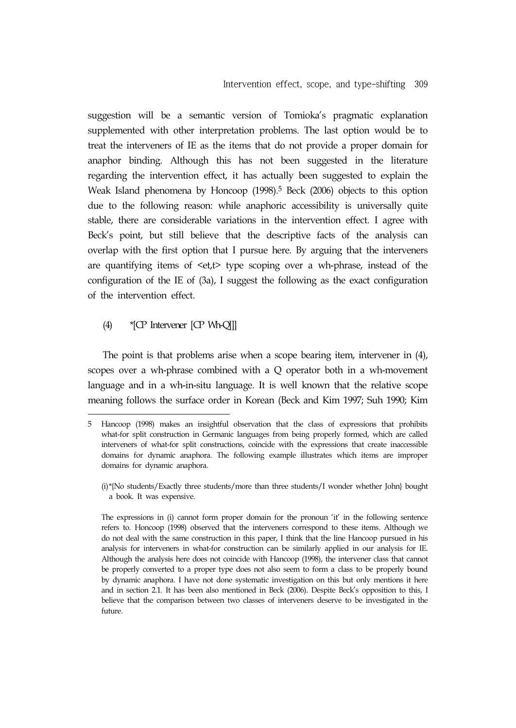suggestion will be a semantic version of Tomioka's pragmatic explanation supplemented with other interpretation problems. The last option would be to treat the interveners of IE as the items that do not provide a proper domain for anaphor binding. Although this has not been suggested in the literature regarding the intervention effect, it has actually been suggested to explain the Weak Island phenomena by Honcoop (1998).<sup>5</sup> Beck (2006) objects to this option due to the following reason: while anaphoric accessibility is universally quite stable, there are considerable variations in the intervention effect. I agree with Beck's point, but still believe that the descriptive facts of the analysis can overlap with the first option that I pursue here. By arguing that the interveners are quantifying items of  $\leq t$ , type scoping over a wh-phrase, instead of the configuration of the IE of (3a), I suggest the following as the exact configuration of the intervention effect.

## (4) \*[CP Intervener [CP Wh-Q]]]

The point is that problems arise when a scope bearing item, intervener in (4), scopes over a wh-phrase combined with a Q operator both in a wh-movement language and in a wh-in-situ language. It is well known that the relative scope meaning follows the surface order in Korean (Beck and Kim 1997; Suh 1990; Kim

<sup>5</sup> Hancoop (1998) makes an insightful observation that the class of expressions that prohibits what-for split construction in Germanic languages from being properly formed, which are called interveners of what-for split constructions, coincide with the expressions that create inaccessible domains for dynamic anaphora. The following example illustrates which items are improper domains for dynamic anaphora.

<sup>(</sup>i)\*{No students/Exactly three students/more than three students/I wonder whether John} bought a book. It was expensive.

The expressions in (i) cannot form proper domain for the pronoun 'it' in the following sentence refers to. Honcoop (1998) observed that the interveners correspond to these items. Although we do not deal with the same construction in this paper, I think that the line Hancoop pursued in his analysis for interveners in what-for construction can be similarly applied in our analysis for IE. Although the analysis here does not coincide with Hancoop (1998), the intervener class that cannot be properly converted to a proper type does not also seem to form a class to be properly bound by dynamic anaphora. I have not done systematic investigation on this but only mentions it here and in section 2.1. It has been also mentioned in Beck (2006). Despite Beck's opposition to this, I believe that the comparison between two classes of interveners deserve to be investigated in the future.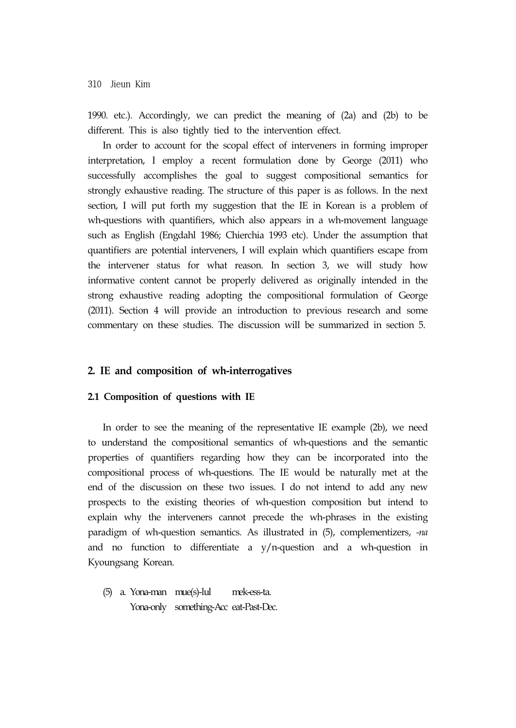1990. etc.). Accordingly, we can predict the meaning of (2a) and (2b) to be different. This is also tightly tied to the intervention effect.

In order to account for the scopal effect of interveners in forming improper interpretation, I employ a recent formulation done by George (2011) who successfully accomplishes the goal to suggest compositional semantics for strongly exhaustive reading. The structure of this paper is as follows. In the next section, I will put forth my suggestion that the IE in Korean is a problem of wh-questions with quantifiers, which also appears in a wh-movement language such as English (Engdahl 1986; Chierchia 1993 etc). Under the assumption that quantifiers are potential interveners, I will explain which quantifiers escape from the intervener status for what reason. In section 3, we will study how informative content cannot be properly delivered as originally intended in the strong exhaustive reading adopting the compositional formulation of George (2011). Section 4 will provide an introduction to previous research and some commentary on these studies. The discussion will be summarized in section 5.

#### **2. IE and composition of wh-interrogatives**

#### **2.1 Composition of questions with IE**

In order to see the meaning of the representative IE example (2b), we need to understand the compositional semantics of wh-questions and the semantic properties of quantifiers regarding how they can be incorporated into the compositional process of wh-questions. The IE would be naturally met at the end of the discussion on these two issues. I do not intend to add any new prospects to the existing theories of wh-question composition but intend to explain why the interveners cannot precede the wh-phrases in the existing paradigm of wh-question semantics. As illustrated in (5), complementizers, *-na* and no function to differentiate a y/n-question and a wh-question in Kyoungsang Korean.

(5) a. Yona-man mue(s)-lul mek-ess-ta. Yona-only something-Acc eat-Past-Dec.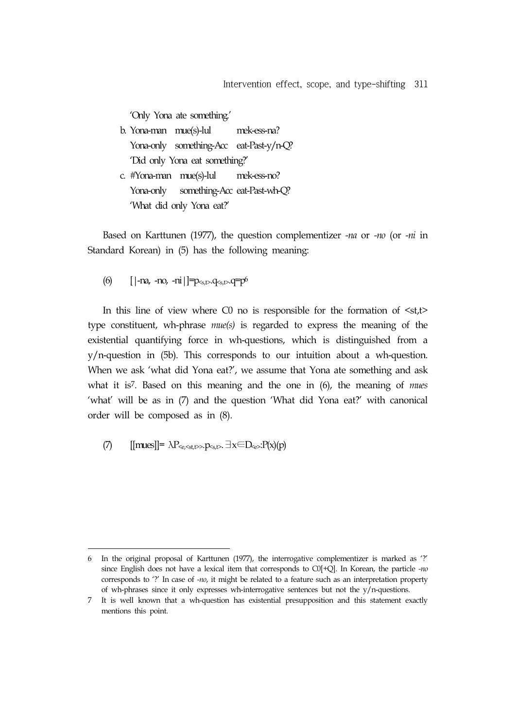'Only Yona ate something.'

- b. Yona-man mue(s)-lul mek-ess-na? Yona-only something-Acc eat-Past-y/n-Q? 'Did only Yona eat something?'
- c. #Yona-man mue(s)-lul mek-ess-no? Yona-only something-Acc eat-Past-wh-Q? 'What did only Yona eat?'

Based on Karttunen (1977), the question complementizer *-na* or *-no* (or *-ni* in Standard Korean) in (5) has the following meaning:

(6)  $[|-n_4, -n_6, -n_1|] = p_{\leq s,t>} \cdot q_{\leq s,t>} \cdot q = p^6$ 

In this line of view where C0 no is responsible for the formation of  $\langle st, t \rangle$ type constituent, wh-phrase *mue(s)* is regarded to express the meaning of the existential quantifying force in wh-questions, which is distinguished from a y/n-question in (5b). This corresponds to our intuition about a wh-question. When we ask 'what did Yona eat?', we assume that Yona ate something and ask what it is7. Based on this meaning and the one in (6), the meaning of *mues* 'what' will be as in (7) and the question 'What did Yona eat?' with canonical order will be composed as in (8).

(7)  $[[{\rm mues}]]=\lambda P_{\leq e,\leq st,t\geq B} \cdot p_{\leq st} \cdot \exists x \in D_{\leq s} \cdot P(x)(p)$ 

<sup>6</sup> In the original proposal of Karttunen (1977), the interrogative complementizer is marked as '?' since English does not have a lexical item that corresponds to C0[+Q]. In Korean, the particle *-no* corresponds to '?' In case of *-no*, it might be related to a feature such as an interpretation property of wh-phrases since it only expresses wh-interrogative sentences but not the  $y/n$ -questions.

<sup>7</sup> It is well known that a wh-question has existential presupposition and this statement exactly mentions this point.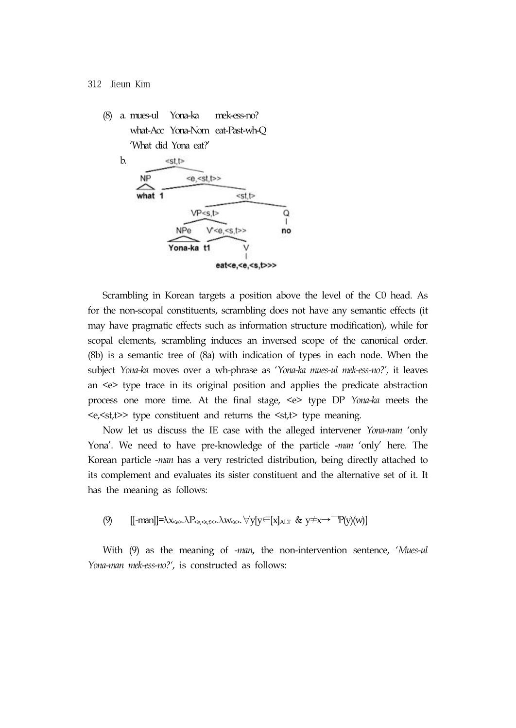(8) a. mues-ul Yona-ka mek-ess-no? what-Acc Yona-Nom eat-Past-wh-Q 'What did Yona eat?'



Scrambling in Korean targets a position above the level of the C0 head. As for the non-scopal constituents, scrambling does not have any semantic effects (it may have pragmatic effects such as information structure modification), while for scopal elements, scrambling induces an inversed scope of the canonical order. (8b) is a semantic tree of (8a) with indication of types in each node. When the subject *Yona-ka* moves over a wh-phrase as '*Yona-ka mues-ul mek-ess-no?',* it leaves an <e> type trace in its original position and applies the predicate abstraction process one more time. At the final stage, <e> type DP *Yona-ka* meets the  $\langle e, \langle st, t \rangle$  type constituent and returns the  $\langle st, t \rangle$  type meaning.

Now let us discuss the IE case with the alleged intervener *Yona-man* 'only Yona'. We need to have pre-knowledge of the particle -*man* 'only' here. The Korean particle -*man* has a very restricted distribution, being directly attached to its complement and evaluates its sister constituent and the alternative set of it. It has the meaning as follows:

(9)  $\left[[-\text{man}]\right] = \lambda x_{\epsilon} \lambda P_{\epsilon} x_{\epsilon}$ ,  $\lambda w_{\epsilon}$ ,  $\forall y[y \in [x]_{\text{ALT}} \& y \neq x \rightarrow \text{T} (y)(w)]$ 

With (9) as the meaning of *-man*, the non-intervention sentence, '*Mues-ul Yona-man mek-ess-no?'*, is constructed as follows: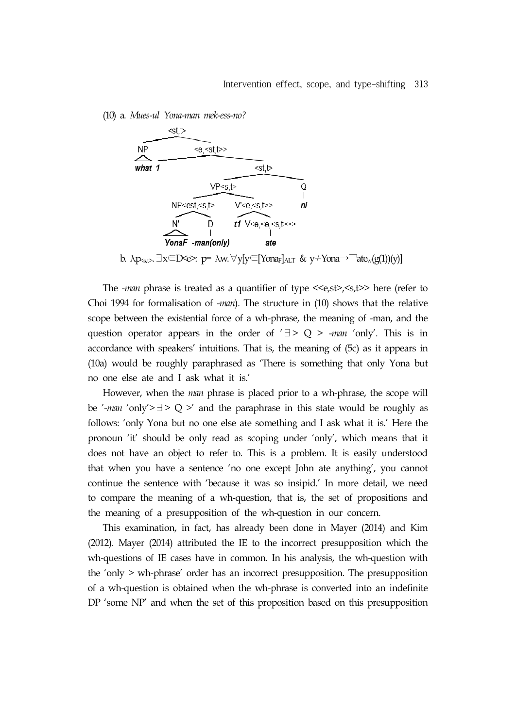(10) a. *Mues-ul Yona-man mek-ess-no?*



The -*man* phrase is treated as a quantifier of type <<e,st>, <>>> here (refer to Choi 1994 for formalisation of *-man*). The structure in (10) shows that the relative scope between the existential force of a wh-phrase, the meaning of -man, and the question operator appears in the order of '∃> Q > *-man* 'only'. This is in accordance with speakers' intuitions. That is, the meaning of (5c) as it appears in (10a) would be roughly paraphrased as 'There is something that only Yona but no one else ate and I ask what it is.'

However, when the *man* phrase is placed prior to a wh-phrase, the scope will be '*-man* 'only'>∃> Q >' and the paraphrase in this state would be roughly as follows: 'only Yona but no one else ate something and I ask what it is.' Here the pronoun 'it' should be only read as scoping under 'only', which means that it does not have an object to refer to. This is a problem. It is easily understood that when you have a sentence 'no one except John ate anything', you cannot continue the sentence with 'because it was so insipid.' In more detail, we need to compare the meaning of a wh-question, that is, the set of propositions and the meaning of a presupposition of the wh-question in our concern.

This examination, in fact, has already been done in Mayer (2014) and Kim (2012). Mayer (2014) attributed the IE to the incorrect presupposition which the wh-questions of IE cases have in common. In his analysis, the wh-question with the 'only > wh-phrase' order has an incorrect presupposition. The presupposition of a wh-question is obtained when the wh-phrase is converted into an indefinite DP 'some NP' and when the set of this proposition based on this presupposition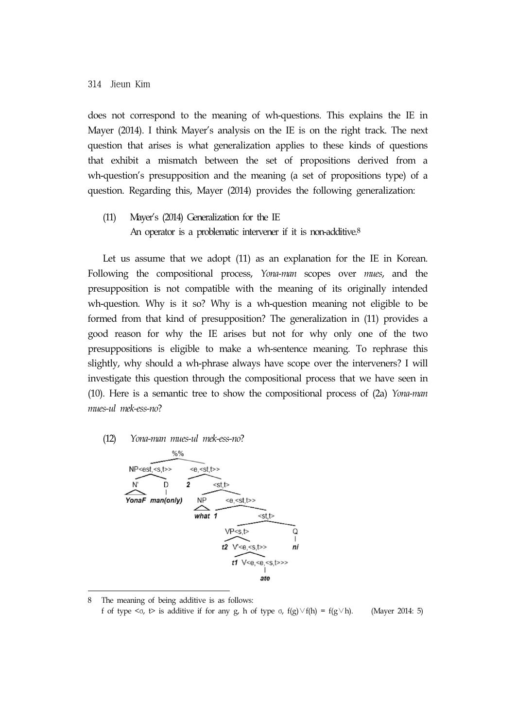does not correspond to the meaning of wh-questions. This explains the IE in Mayer (2014). I think Mayer's analysis on the IE is on the right track. The next question that arises is what generalization applies to these kinds of questions that exhibit a mismatch between the set of propositions derived from a wh-question's presupposition and the meaning (a set of propositions type) of a question. Regarding this, Mayer (2014) provides the following generalization:

(11) Mayer's (2014) Generalization for the IE An operator is a problematic intervener if it is non-additive.<sup>8</sup>

Let us assume that we adopt (11) as an explanation for the IE in Korean. Following the compositional process, *Yona-man* scopes over *mues*, and the presupposition is not compatible with the meaning of its originally intended wh-question. Why is it so? Why is a wh-question meaning not eligible to be formed from that kind of presupposition? The generalization in (11) provides a good reason for why the IE arises but not for why only one of the two presuppositions is eligible to make a wh-sentence meaning. To rephrase this slightly, why should a wh-phrase always have scope over the interveners? I will investigate this question through the compositional process that we have seen in (10). Here is a semantic tree to show the compositional process of (2a) *Yona-man mues-ul mek-ess-no*?

#### (12) *Yona-man mues-ul mek-ess-no*?



<sup>8</sup> The meaning of being additive is as follows: f of type  $\langle \sigma, \tau \rangle$  is additive if for any g, h of type  $\sigma$ ,  $f(g) \vee f(h) = f(g \vee h)$ . (Mayer 2014: 5)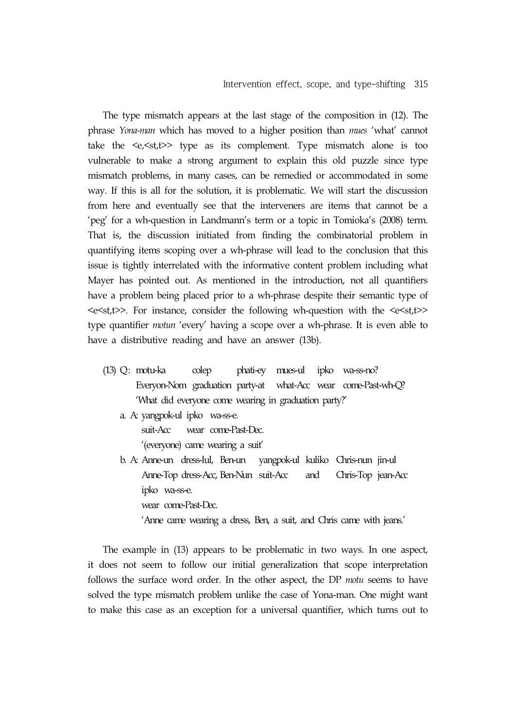The type mismatch appears at the last stage of the composition in (12). The phrase *Yona-man* which has moved to a higher position than *mues* 'what' cannot take the  $\langle e, \langle st, t \rangle$  type as its complement. Type mismatch alone is too vulnerable to make a strong argument to explain this old puzzle since type mismatch problems, in many cases, can be remedied or accommodated in some way. If this is all for the solution, it is problematic. We will start the discussion from here and eventually see that the interveners are items that cannot be a 'peg' for a wh-question in Landmann's term or a topic in Tomioka's (2008) term. That is, the discussion initiated from finding the combinatorial problem in quantifying items scoping over a wh-phrase will lead to the conclusion that this issue is tightly interrelated with the informative content problem including what Mayer has pointed out. As mentioned in the introduction, not all quantifiers have a problem being placed prior to a wh-phrase despite their semantic type of <e<st,t>>. For instance, consider the following wh-question with the <e<st,t>> type quantifier *motun* 'every' having a scope over a wh-phrase. It is even able to have a distributive reading and have an answer (13b).

- (13) Q: motu-ka colep phati-ey mues-ul ipko wa-ss-no? Everyon-Nom graduation party-at what-Acc wear come-Past-wh-Q? 'What did everyone come wearing in graduation party?'
	- a. A: yangpok-ul ipko wa-ss-e. suit-Acc wear come-Past-Dec.

'(everyone) came wearing a suit'

b. A: Anne-un dress-lul, Ben-un yangpok-ul kuliko Chris-nun jin-ul Anne-Top dress-Acc, Ben-Nun suit-Acc and Chris-Top jean-Acc ipko wa-ss-e. wear come-Past-Dec. 'Anne came wearing a dress, Ben, a suit, and Chris came with jeans.'

The example in (13) appears to be problematic in two ways. In one aspect,

it does not seem to follow our initial generalization that scope interpretation follows the surface word order. In the other aspect, the DP *motu* seems to have solved the type mismatch problem unlike the case of Yona-man. One might want to make this case as an exception for a universal quantifier, which turns out to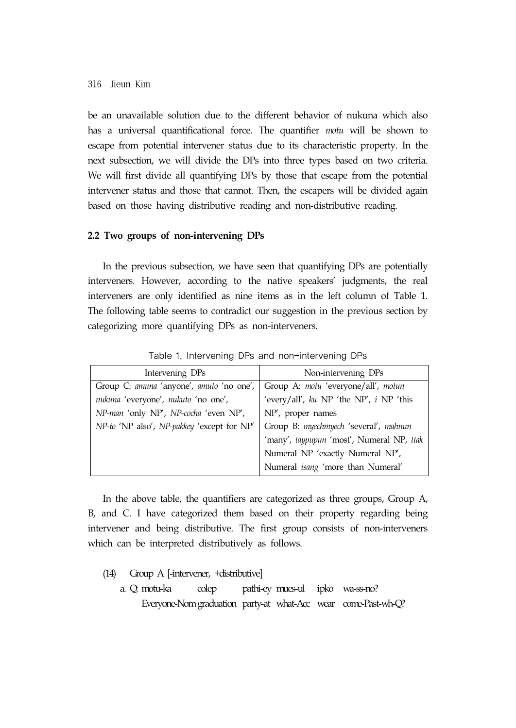be an unavailable solution due to the different behavior of nukuna which also has a universal quantificational force. The quantifier *motu* will be shown to escape from potential intervener status due to its characteristic property. In the next subsection, we will divide the DPs into three types based on two criteria. We will first divide all quantifying DPs by those that escape from the potential intervener status and those that cannot. Then, the escapers will be divided again based on those having distributive reading and non-distributive reading.

#### **2.2 Two groups of non-intervening DPs**

In the previous subsection, we have seen that quantifying DPs are potentially interveners. However, according to the native speakers' judgments, the real interveners are only identified as nine items as in the left column of Table 1. The following table seems to contradict our suggestion in the previous section by categorizing more quantifying DPs as non-interveners.

| Intervening DPs                            | Non-intervening DPs                         |
|--------------------------------------------|---------------------------------------------|
| Group C: amuna 'anyone', amuto 'no one',   | Group A: motu 'everyone/all', motun         |
| nukuna 'everyone', nukuto 'no one',        | 'every/all', $ku$ NP 'the NP', $i$ NP 'this |
| NP-man 'only NP', NP-cocha 'even NP',      | $NP'$ , proper names                        |
| NP-to 'NP also', NP-pakkey 'except for NP' | Group B: myechmyech 'several', mahnun       |
|                                            | 'many', taypupun 'most', Numeral NP, ttak   |
|                                            | Numeral NP 'exactly Numeral NP',            |
|                                            | Numeral isang 'more than Numeral'           |

Table 1. Intervening DPs and non-intervening DPs

In the above table, the quantifiers are categorized as three groups, Group A, B, and C. I have categorized them based on their property regarding being intervener and being distributive. The first group consists of non-interveners which can be interpreted distributively as follows.

- (14) Group A [-intervener, +distributive]
	- a. Q: motu-ka colep pathi-ey mues-ul ipko wa-ss-no? Everyone-Nomgraduation party-at what-Acc wear come-Past-wh-Q?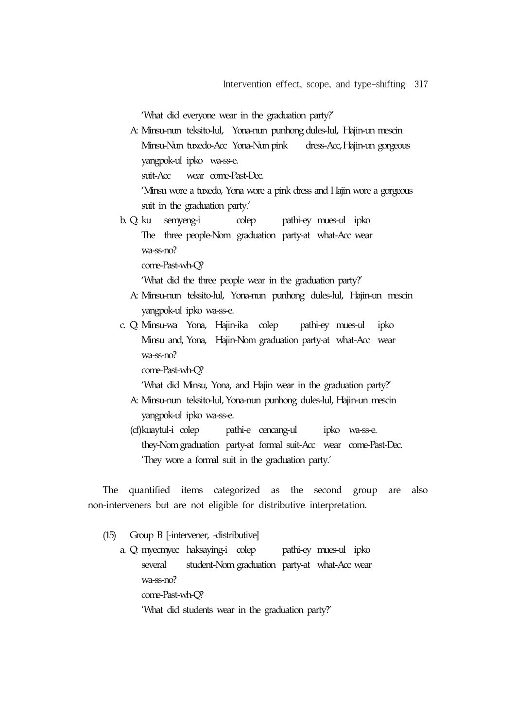'What did everyone wear in the graduation party?'

 A: Minsu-nun teksito-lul, Yona-nun punhong dules-lul, Hajin-un mescin Minsu-Nun tuxedo-Acc Yona-Nun pink dress-Acc,Hajin-un gorgeous yangpok-ul ipko wa-ss-e. suit-Acc wear come-Past-Dec.

'Minsu wore a tuxedo, Yona wore a pink dress and Hajin wore a gorgeous

- suit in the graduation party.'
- b. Q: ku semyeng-i colep pathi-ey mues-ul ipko The three people-Nom graduation party-at what-Acc wear wa-ss-no? come-Past-wh-Q?

'What did the three people wear in the graduation party?'

- A: Minsu-nun teksito-lul, Yona-nun punhong dules-lul, Hajin-un mescin yangpok-ul ipko wa-ss-e.
- c. Q: Minsu-wa Yona, Hajin-ika colep pathi-ey mues-ul ipko Minsu and, Yona, Hajin-Nom graduation party-at what-Acc wear wa-ss-no?

come-Past-wh-Q?

'What did Minsu, Yona, and Hajin wear in the graduation party?'

- A: Minsu-nun teksito-lul, Yona-nun punhong dules-lul, Hajin-un mescin yangpok-ul ipko wa-ss-e.
- (cf)kuaytul-i colep pathi-e cencang-ul ipko wa-ss-e. they-Nom graduation party-at formal suit-Acc wear come-Past-Dec. 'They wore a formal suit in the graduation party.'

The quantified items categorized as the second group are also non-interveners but are not eligible for distributive interpretation.

(15) Group B [-intervener, -distributive]

 a. Q: myecmyec haksaying-i colep pathi-ey mues-ul ipko several student-Nom graduation party-at what-Acc wear wa-ss-no? come-Past-wh-Q? 'What did students wear in the graduation party?'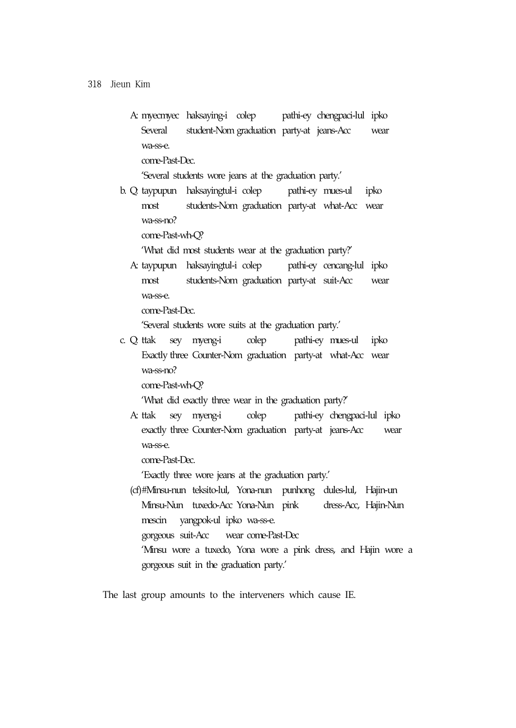A: myecmyec haksaying-i colep pathi-ey chengpaci-lul ipko Several student-Nom graduation party-at jeans-Acc wear wa-ss-e.

come-Past-Dec.

'Several students wore jeans at the graduation party.'

 b. Q: taypupun haksayingtul-i colep pathi-ey mues-ul ipko most students-Nom graduation party-at what-Acc wear wa-ss-no?

come-Past-wh-Q?

'What did most students wear at the graduation party?'

 A: taypupun haksayingtul-i colep pathi-ey cencang-lul ipko most students-Nom graduation party-at suit-Acc wear wa-ss-e.

come-Past-Dec.

'Several students wore suits at the graduation party.'

c. Q: ttak sey myeng-i colep pathi-ey mues-ul ipko Exactly three Counter-Nom graduation party-at what-Acc wear wa-ss-no?

come-Past-wh-Q?

'What did exactly three wear in the graduation party?'

 A: ttak sey myeng-i colep pathi-ey chengpaci-lul ipko exactly three Counter-Nom graduation party-at jeans-Acc wear wa-ss-e.

come-Past-Dec.

'Exactly three wore jeans at the graduation party.'

(cf)#Minsu-nun teksito-lul, Yona-nun punhong dules-lul, Hajin-un Minsu-Nun tuxedo-Acc Yona-Nun pink dress-Acc, Hajin-Nun mescin yangpok-ul ipko wa-ss-e. gorgeous suit-Acc wear come-Past-Dec 'Minsu wore a tuxedo, Yona wore a pink dress, and Hajin wore a

gorgeous suit in the graduation party.'

The last group amounts to the interveners which cause IE.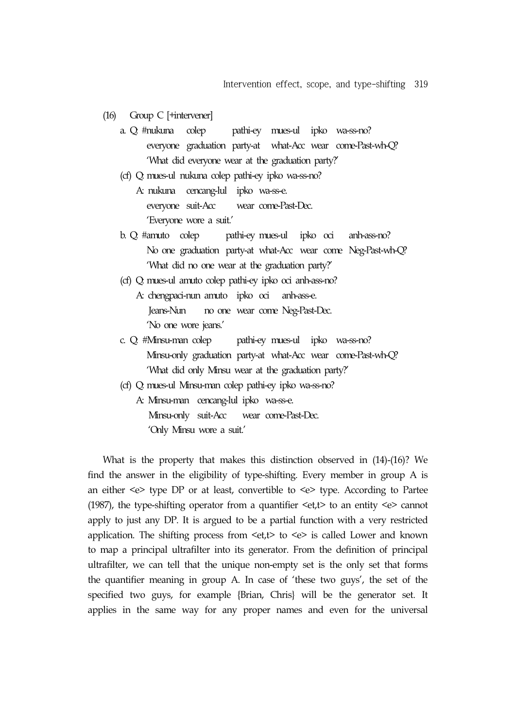- (16) Group C [+intervener]
	- a. Q: #nukuna colep pathi-ey mues-ul ipko wa-ss-no? everyone graduation party-at what-Acc wear come-Past-wh-Q? 'What did everyone wear at the graduation party?'
	- (cf) Q: mues-ul nukuna colep pathi-ey ipko wa-ss-no?
		- A: nukuna cencang-lul ipko wa-ss-e. everyone suit-Acc wear come-Past-Dec. 'Everyone wore a suit.'
	- b. Q: #amuto colep pathi-ey mues-ul ipko oci anh-ass-no? No one graduation party-at what-Acc wear come Neg-Past-wh-Q? 'What did no one wear at the graduation party?'
	- (cf) Q: mues-ul amuto colep pathi-ey ipko oci anh-ass-no?
		- A: chengpaci-nun amuto ipko oci anh-ass-e. Jeans-Nun no one wear come Neg-Past-Dec. 'No one wore jeans.'
	- c. Q: #Minsu-man colep pathi-ey mues-ul ipko wa-ss-no? Minsu-only graduation party-at what-Acc wear come-Past-wh-Q? 'What did only Minsu wear at the graduation party?'
	- (cf) Q: mues-ul Minsu-man colep pathi-ey ipko wa-ss-no?
		- A: Minsu-man cencang-lul ipko wa-ss-e. Minsu-only suit-Acc wear come-Past-Dec. 'Only Minsu wore a suit.'

What is the property that makes this distinction observed in (14)-(16)? We find the answer in the eligibility of type-shifting. Every member in group A is an either  $\leq e$  type DP or at least, convertible to  $\leq e$  type. According to Partee (1987), the type-shifting operator from a quantifier  $\leq t$ , to an entity  $\leq \geq$  cannot apply to just any DP. It is argued to be a partial function with a very restricted application. The shifting process from  $\leq$ et,t $>$  to  $\leq$ e $>$  is called Lower and known to map a principal ultrafilter into its generator. From the definition of principal ultrafilter, we can tell that the unique non-empty set is the only set that forms the quantifier meaning in group A. In case of 'these two guys', the set of the specified two guys, for example {Brian, Chris} will be the generator set. It applies in the same way for any proper names and even for the universal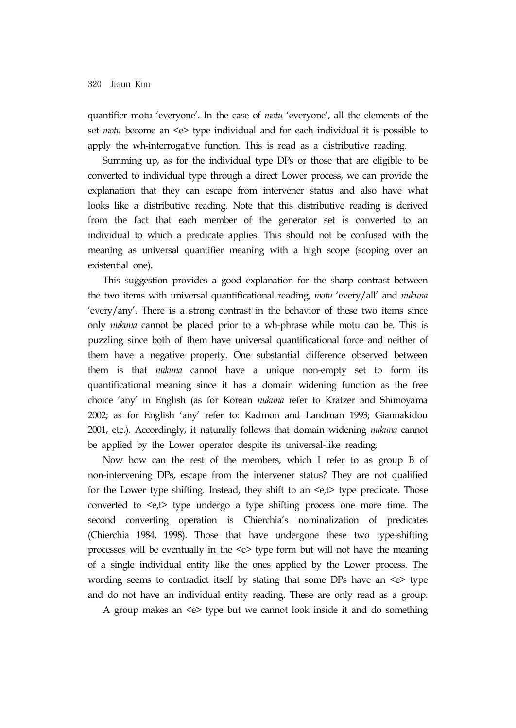quantifier motu 'everyone'. In the case of *motu* 'everyone', all the elements of the set *motu* become an <e> type individual and for each individual it is possible to apply the wh-interrogative function. This is read as a distributive reading.

Summing up, as for the individual type DPs or those that are eligible to be converted to individual type through a direct Lower process, we can provide the explanation that they can escape from intervener status and also have what looks like a distributive reading. Note that this distributive reading is derived from the fact that each member of the generator set is converted to an individual to which a predicate applies. This should not be confused with the meaning as universal quantifier meaning with a high scope (scoping over an existential one).

This suggestion provides a good explanation for the sharp contrast between the two items with universal quantificational reading, *motu* 'every/all' and *nukuna* 'every/any'. There is a strong contrast in the behavior of these two items since only *nukuna* cannot be placed prior to a wh-phrase while motu can be. This is puzzling since both of them have universal quantificational force and neither of them have a negative property. One substantial difference observed between them is that *nukuna* cannot have a unique non-empty set to form its quantificational meaning since it has a domain widening function as the free choice 'any' in English (as for Korean *nukuna* refer to Kratzer and Shimoyama 2002; as for English 'any' refer to: Kadmon and Landman 1993; Giannakidou 2001, etc.). Accordingly, it naturally follows that domain widening *nukuna* cannot be applied by the Lower operator despite its universal-like reading.

Now how can the rest of the members, which I refer to as group B of non-intervening DPs, escape from the intervener status? They are not qualified for the Lower type shifting. Instead, they shift to an  $\leq e$ , type predicate. Those converted to <e,t> type undergo a type shifting process one more time. The second converting operation is Chierchia's nominalization of predicates (Chierchia 1984, 1998). Those that have undergone these two type-shifting processes will be eventually in the  $\leq$  type form but will not have the meaning of a single individual entity like the ones applied by the Lower process. The wording seems to contradict itself by stating that some DPs have an <e> type and do not have an individual entity reading. These are only read as a group.

A group makes an <e> type but we cannot look inside it and do something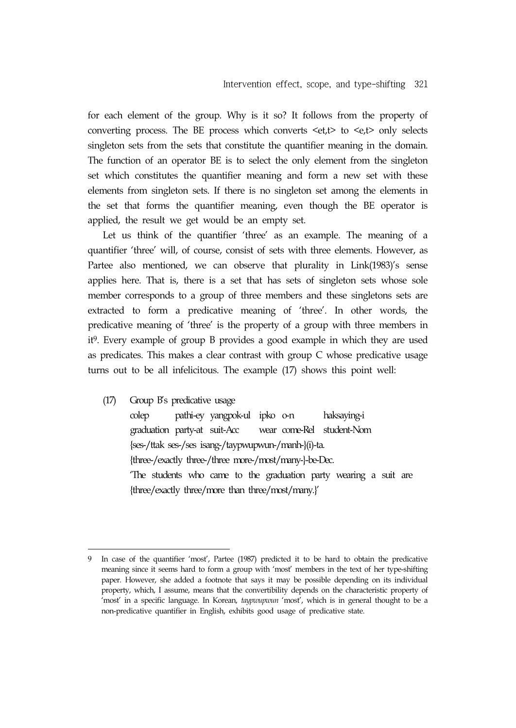for each element of the group. Why is it so? It follows from the property of converting process. The BE process which converts  $\leq et, t$  to  $\leq e, t$  only selects singleton sets from the sets that constitute the quantifier meaning in the domain. The function of an operator BE is to select the only element from the singleton set which constitutes the quantifier meaning and form a new set with these elements from singleton sets. If there is no singleton set among the elements in the set that forms the quantifier meaning, even though the BE operator is applied, the result we get would be an empty set.

Let us think of the quantifier 'three' as an example. The meaning of a quantifier 'three' will, of course, consist of sets with three elements. However, as Partee also mentioned, we can observe that plurality in Link(1983)'s sense applies here. That is, there is a set that has sets of singleton sets whose sole member corresponds to a group of three members and these singletons sets are extracted to form a predicative meaning of 'three'. In other words, the predicative meaning of 'three' is the property of a group with three members in it9. Every example of group B provides a good example in which they are used as predicates. This makes a clear contrast with group C whose predicative usage turns out to be all infelicitous. The example (17) shows this point well:

(17) Group B's predicative usage

colep pathi-ey yangpok-ul ipko o-n haksaying-i graduation party-at suit-Acc wear come-Rel student-Nom {ses-/ttak ses-/ses isang-/taypwupwun-/manh-}(i)-ta. {three-/exactly three-/three more-/most/many-}-be-Dec. 'The students who came to the graduation party wearing a suit are {three/exactly three/more than three/most/many.}'

<sup>9</sup> In case of the quantifier 'most', Partee (1987) predicted it to be hard to obtain the predicative meaning since it seems hard to form a group with 'most' members in the text of her type-shifting paper. However, she added a footnote that says it may be possible depending on its individual property, which, I assume, means that the convertibility depends on the characteristic property of 'most' in a specific language. In Korean, *taypwupwun* 'most', which is in general thought to be a non-predicative quantifier in English, exhibits good usage of predicative state.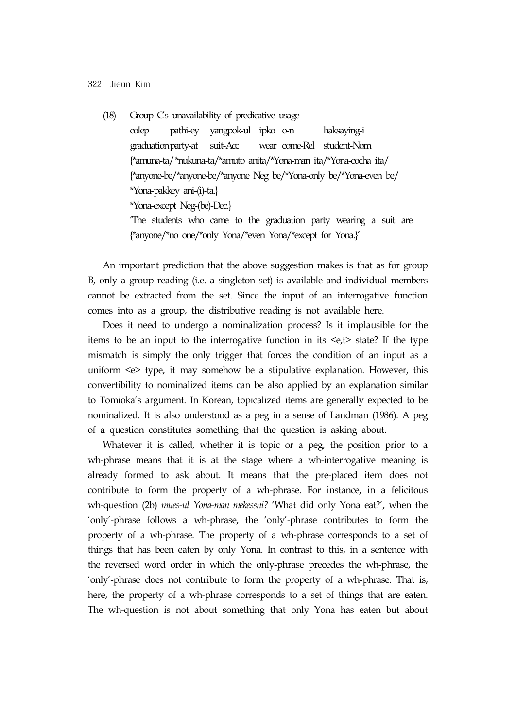(18) Group C's unavailability of predicative usage colep pathi-ey yangpok-ul ipko o-n haksaying-i graduationparty-at suit-Acc wear come-Rel student-Nom {\*amuna-ta/\*nukuna-ta/\*amuto anita/\*Yona-man ita/\*Yona-cocha ita/ {\*anyone-be/\*anyone-be/\*anyone Neg be/\*Yona-only be/\*Yona-even be/ \*Yona-pakkey ani-(i)-ta.} \*Yona-except Neg-(be)-Dec.} 'The students who came to the graduation party wearing a suit are {\*anyone/\*no one/\*only Yona/\*even Yona/\*except for Yona.}'

An important prediction that the above suggestion makes is that as for group B, only a group reading (i.e. a singleton set) is available and individual members cannot be extracted from the set. Since the input of an interrogative function comes into as a group, the distributive reading is not available here.

Does it need to undergo a nominalization process? Is it implausible for the items to be an input to the interrogative function in its  $\leq t$  state? If the type mismatch is simply the only trigger that forces the condition of an input as a uniform <e> type, it may somehow be a stipulative explanation. However, this convertibility to nominalized items can be also applied by an explanation similar to Tomioka's argument. In Korean, topicalized items are generally expected to be nominalized. It is also understood as a peg in a sense of Landman (1986). A peg of a question constitutes something that the question is asking about.

Whatever it is called, whether it is topic or a peg, the position prior to a wh-phrase means that it is at the stage where a wh-interrogative meaning is already formed to ask about. It means that the pre-placed item does not contribute to form the property of a wh-phrase. For instance, in a felicitous wh-question (2b) *mues-ul Yona-man mekessni?* 'What did only Yona eat?', when the 'only'-phrase follows a wh-phrase, the 'only'-phrase contributes to form the property of a wh-phrase. The property of a wh-phrase corresponds to a set of things that has been eaten by only Yona. In contrast to this, in a sentence with the reversed word order in which the only-phrase precedes the wh-phrase, the 'only'-phrase does not contribute to form the property of a wh-phrase. That is, here, the property of a wh-phrase corresponds to a set of things that are eaten. The wh-question is not about something that only Yona has eaten but about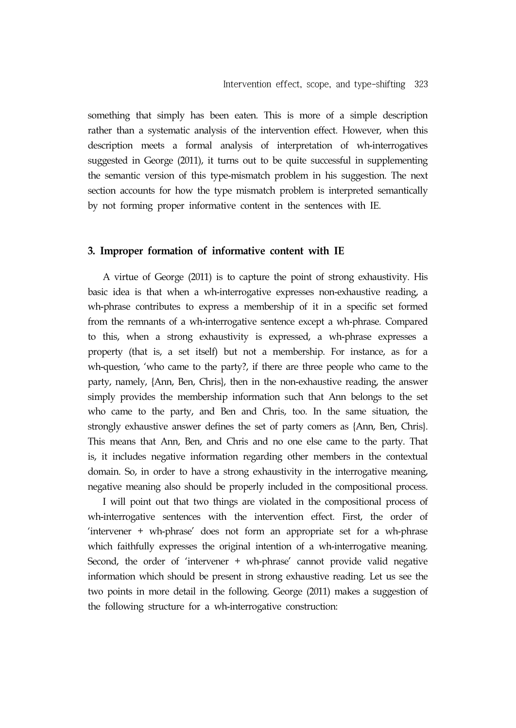something that simply has been eaten. This is more of a simple description rather than a systematic analysis of the intervention effect. However, when this description meets a formal analysis of interpretation of wh-interrogatives suggested in George (2011), it turns out to be quite successful in supplementing the semantic version of this type-mismatch problem in his suggestion. The next section accounts for how the type mismatch problem is interpreted semantically by not forming proper informative content in the sentences with IE.

### **3. Improper formation of informative content with IE**

A virtue of George (2011) is to capture the point of strong exhaustivity. His basic idea is that when a wh-interrogative expresses non-exhaustive reading, a wh-phrase contributes to express a membership of it in a specific set formed from the remnants of a wh-interrogative sentence except a wh-phrase. Compared to this, when a strong exhaustivity is expressed, a wh-phrase expresses a property (that is, a set itself) but not a membership. For instance, as for a wh-question, 'who came to the party?, if there are three people who came to the party, namely, {Ann, Ben, Chris}, then in the non-exhaustive reading, the answer simply provides the membership information such that Ann belongs to the set who came to the party, and Ben and Chris, too. In the same situation, the strongly exhaustive answer defines the set of party comers as {Ann, Ben, Chris}. This means that Ann, Ben, and Chris and no one else came to the party. That is, it includes negative information regarding other members in the contextual domain. So, in order to have a strong exhaustivity in the interrogative meaning, negative meaning also should be properly included in the compositional process.

I will point out that two things are violated in the compositional process of wh-interrogative sentences with the intervention effect. First, the order of 'intervener + wh-phrase' does not form an appropriate set for a wh-phrase which faithfully expresses the original intention of a wh-interrogative meaning. Second, the order of 'intervener + wh-phrase' cannot provide valid negative information which should be present in strong exhaustive reading. Let us see the two points in more detail in the following. George (2011) makes a suggestion of the following structure for a wh-interrogative construction: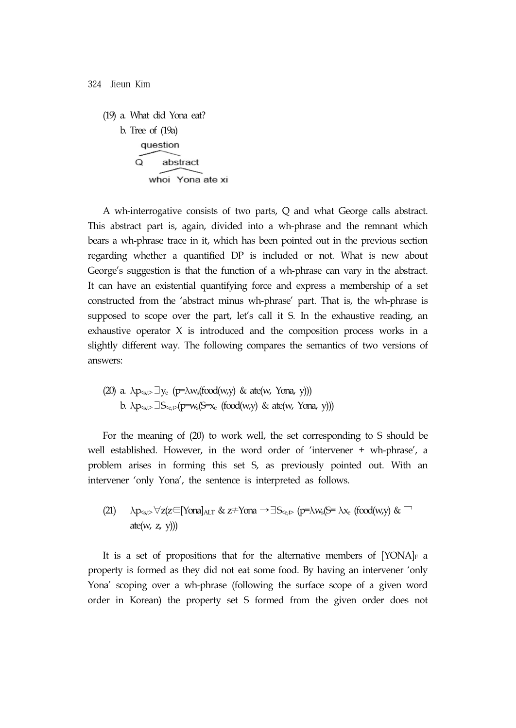(19) a. What did Yona eat? b. Tree of (19a) question  $\overline{O}$ abstract whoi Yona ate xi

A wh-interrogative consists of two parts, Q and what George calls abstract. This abstract part is, again, divided into a wh-phrase and the remnant which bears a wh-phrase trace in it, which has been pointed out in the previous section regarding whether a quantified DP is included or not. What is new about George's suggestion is that the function of a wh-phrase can vary in the abstract. It can have an existential quantifying force and express a membership of a set constructed from the 'abstract minus wh-phrase' part. That is, the wh-phrase is supposed to scope over the part, let's call it S. In the exhaustive reading, an exhaustive operator X is introduced and the composition process works in a slightly different way. The following compares the semantics of two versions of answers:

(20) a. 
$$
\lambda p_{s,t} \exists y_e
$$
 (p= $\lambda w_s$ (food(w,y) & ate(w, Yona, y)))  
b.  $\lambda p_{s,t} \exists S_{c,t} \in (p=w_s(S=x_e \text{ (food(w,y) & ate(w, Yona, y))))$ 

For the meaning of (20) to work well, the set corresponding to S should be well established. However, in the word order of 'intervener + wh-phrase', a problem arises in forming this set S, as previously pointed out. With an intervener 'only Yona', the sentence is interpreted as follows.

(21) 
$$
\lambda p_{\text{s,t}} \forall z(z \in \text{Yonal}_{\text{ALT}} \& z \neq \text{Yona} \rightarrow \exists S_{\text{c,t}} \text{ (}p = \lambda w_{\text{s}}(S = \lambda x_{\text{c}} \text{ (food}(w,y) \& \neg \text{ate}(w, z, y)))
$$

It is a set of propositions that for the alternative members of  $[YONA]_F$  a property is formed as they did not eat some food. By having an intervener 'only Yona' scoping over a wh-phrase (following the surface scope of a given word order in Korean) the property set S formed from the given order does not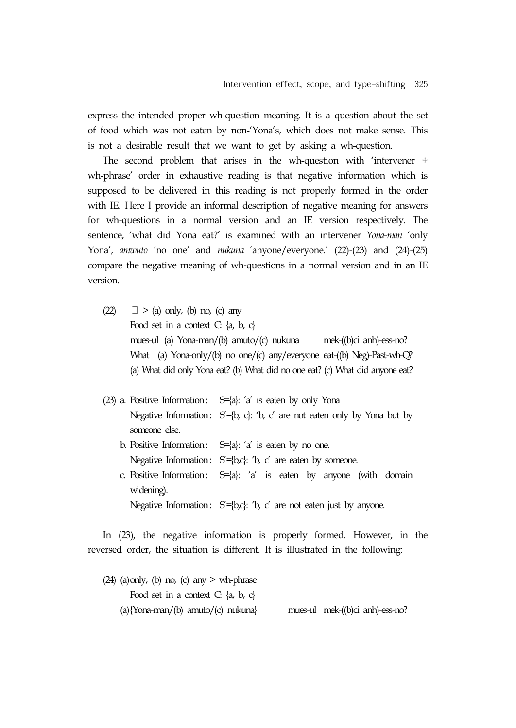express the intended proper wh-question meaning. It is a question about the set of food which was not eaten by non-'Yona's, which does not make sense. This is not a desirable result that we want to get by asking a wh-question.

The second problem that arises in the wh-question with 'intervener + wh-phrase' order in exhaustive reading is that negative information which is supposed to be delivered in this reading is not properly formed in the order with IE. Here I provide an informal description of negative meaning for answers for wh-questions in a normal version and an IE version respectively. The sentence, 'what did Yona eat?' is examined with an intervener *Yona-man* 'only Yona', *amwuto* 'no one' and *nukuna* 'anyone/everyone.' (22)-(23) and (24)-(25) compare the negative meaning of wh-questions in a normal version and in an IE version.

- $(22)$   $\exists$  > (a) only, (b) no, (c) any Food set in a context C: {a, b, c} mues-ul (a) Yona-man/(b) amuto/(c) nukuna mek-((b)ci anh)-ess-no? What (a) Yona-only/(b) no one/(c) any/everyone eat-((b) Neg)-Past-wh-Q? (a) What did only Yona eat? (b) What did no one eat? (c) What did anyone eat?
- (23) a. Positive Information:  $S=[a]: 'a'$  is eaten by only Yona Negative Information:  $S = \{b, c\}$ : 'b, c' are not eaten only by Yona but by someone else.
	- b. Positive Information:  $S=[a]: 'a'$  is eaten by no one. Negative Information:  $S = \{b,c\}$ : 'b, c' are eaten by someone.
	- c. Positive Information:  $S=[a]: 'a'$  is eaten by anyone (with domain widening). Negative Information:  $S=[b,c]$ : 'b, c' are not eaten just by anyone.

In (23), the negative information is properly formed. However, in the reversed order, the situation is different. It is illustrated in the following:

 $(24)$  (a) only, (b) no, (c) any  $>$  wh-phrase Food set in a context C: {a, b, c} (a){Yona-man/(b) amuto/(c) nukuna} mues-ul mek-((b)ci anh)-ess-no?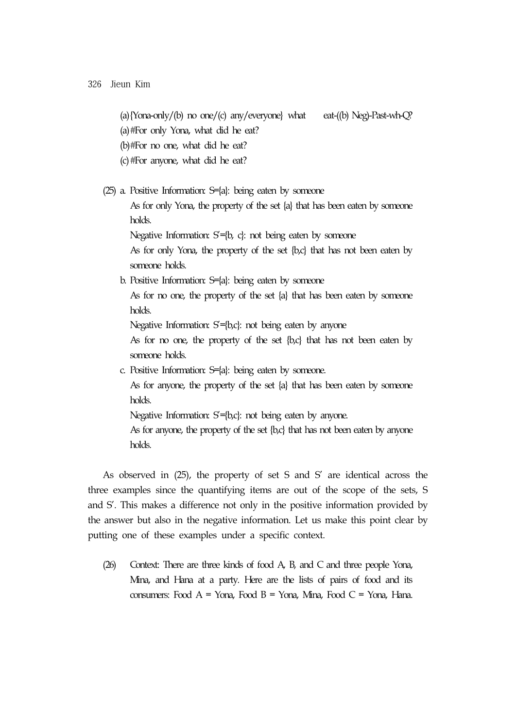- (a){Yona-only/(b) no one/(c) any/everyone} what eat-((b) Neg)-Past-wh-Q?
- (a)#For only Yona, what did he eat?
- (b)#For no one, what did he eat?
- (c)#For anyone, what did he eat?
- (25) a. Positive Information: S={a}: being eaten by someone

 As for only Yona, the property of the set {a} that has been eaten by someone holds.

Negative Information:  $S = \{b, c\}$ : not being eaten by someone

 As for only Yona, the property of the set {b,c} that has not been eaten by someone holds.

b. Positive Information: S={a}: being eaten by someone

 As for no one, the property of the set {a} that has been eaten by someone holds.

Negative Information:  $S = \{b,c\}$ : not being eaten by anyone

As for no one, the property of the set  ${b,c}$  that has not been eaten by someone holds.

c. Positive Information: S={a}: being eaten by someone.

 As for anyone, the property of the set {a} that has been eaten by someone holds.

Negative Information:  $S = \{b,c\}$ : not being eaten by anyone.

 As for anyone, the property of the set {b,c} that has not been eaten by anyone holds.

As observed in (25), the property of set S and S' are identical across the three examples since the quantifying items are out of the scope of the sets, S and S'. This makes a difference not only in the positive information provided by the answer but also in the negative information. Let us make this point clear by putting one of these examples under a specific context.

(26) Context: There are three kinds of food A, B, and C and three people Yona, Mina, and Hana at a party. Here are the lists of pairs of food and its consumers: Food A = Yona, Food B = Yona, Mina, Food C = Yona, Hana.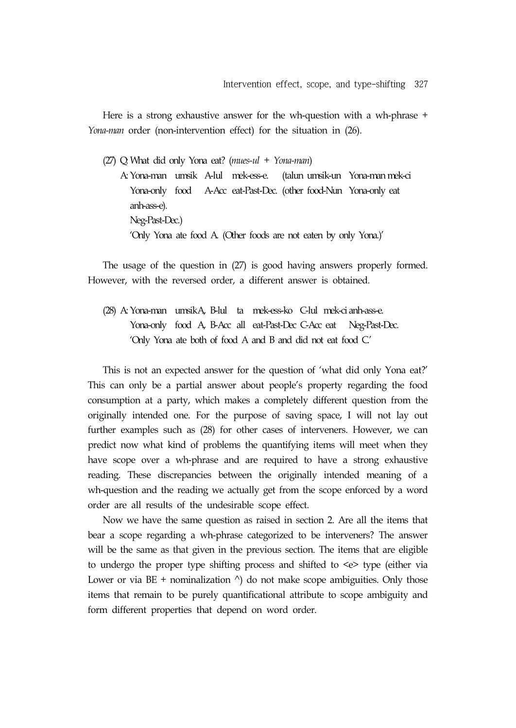Here is a strong exhaustive answer for the wh-question with a wh-phrase + *Yona-man* order (non-intervention effect) for the situation in (26).

(27) Q: What did only Yona eat? (*mues-ul + Yona-man*)

 A: Yona-man umsik A-lul mek-ess-e. (talun umsik-un Yona-man mek-ci Yona-only food A-Acc eat-Past-Dec. (other food-Nun Yona-only eat anh-ass-e). Neg-Past-Dec.) 'Only Yona ate food A. (Other foods are not eaten by only Yona.)'

The usage of the question in (27) is good having answers properly formed. However, with the reversed order, a different answer is obtained.

(28) A: Yona-man umsikA, B-lul ta mek-ess-ko C-lul mek-ci anh-ass-e. Yona-only food A, B-Acc all eat-Past-Dec C-Acc eat Neg-Past-Dec. 'Only Yona ate both of food A and B and did not eat food C.'

This is not an expected answer for the question of 'what did only Yona eat?' This can only be a partial answer about people's property regarding the food consumption at a party, which makes a completely different question from the originally intended one. For the purpose of saving space, I will not lay out further examples such as (28) for other cases of interveners. However, we can predict now what kind of problems the quantifying items will meet when they have scope over a wh-phrase and are required to have a strong exhaustive reading. These discrepancies between the originally intended meaning of a wh-question and the reading we actually get from the scope enforced by a word order are all results of the undesirable scope effect.

Now we have the same question as raised in section 2. Are all the items that bear a scope regarding a wh-phrase categorized to be interveners? The answer will be the same as that given in the previous section. The items that are eligible to undergo the proper type shifting process and shifted to <e> type (either via Lower or via BE + nominalization  $\wedge$ ) do not make scope ambiguities. Only those items that remain to be purely quantificational attribute to scope ambiguity and form different properties that depend on word order.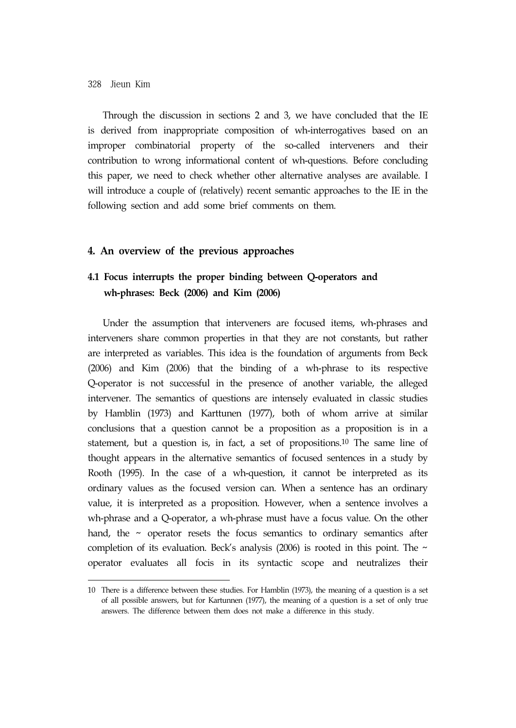Through the discussion in sections 2 and 3, we have concluded that the IE is derived from inappropriate composition of wh-interrogatives based on an improper combinatorial property of the so-called interveners and their contribution to wrong informational content of wh-questions. Before concluding this paper, we need to check whether other alternative analyses are available. I will introduce a couple of (relatively) recent semantic approaches to the IE in the following section and add some brief comments on them.

### **4. An overview of the previous approaches**

## **4.1 Focus interrupts the proper binding between Q-operators and wh-phrases: Beck (2006) and Kim (2006)**

Under the assumption that interveners are focused items, wh-phrases and interveners share common properties in that they are not constants, but rather are interpreted as variables. This idea is the foundation of arguments from Beck (2006) and Kim (2006) that the binding of a wh-phrase to its respective Q-operator is not successful in the presence of another variable, the alleged intervener. The semantics of questions are intensely evaluated in classic studies by Hamblin (1973) and Karttunen (1977), both of whom arrive at similar conclusions that a question cannot be a proposition as a proposition is in a statement, but a question is, in fact, a set of propositions.10 The same line of thought appears in the alternative semantics of focused sentences in a study by Rooth (1995). In the case of a wh-question, it cannot be interpreted as its ordinary values as the focused version can. When a sentence has an ordinary value, it is interpreted as a proposition. However, when a sentence involves a wh-phrase and a Q-operator, a wh-phrase must have a focus value. On the other hand, the  $\sim$  operator resets the focus semantics to ordinary semantics after completion of its evaluation. Beck's analysis (2006) is rooted in this point. The  $\sim$ operator evaluates all focis in its syntactic scope and neutralizes their

<sup>10</sup> There is a difference between these studies. For Hamblin (1973), the meaning of a question is a set of all possible answers, but for Kartunnen (1977), the meaning of a question is a set of only true answers. The difference between them does not make a difference in this study.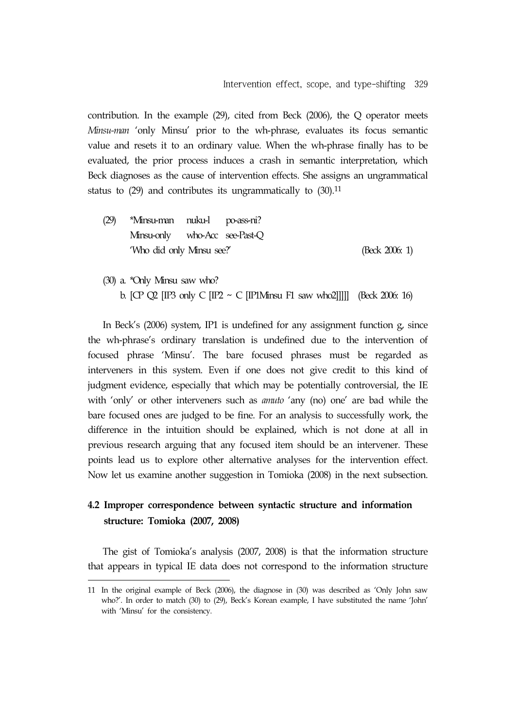contribution. In the example (29), cited from Beck (2006), the Q operator meets *Minsu-man* 'only Minsu' prior to the wh-phrase, evaluates its focus semantic value and resets it to an ordinary value. When the wh-phrase finally has to be evaluated, the prior process induces a crash in semantic interpretation, which Beck diagnoses as the cause of intervention effects. She assigns an ungrammatical status to (29) and contributes its ungrammatically to (30).<sup>11</sup>

- (29) \*Minsu-man nuku-l po-ass-ni? Minsu-only who-Acc see-Past-Q 'Who did only Minsu see?' (Beck 2006: 1)
- (30) a. \*Only Minsu saw who? b. [CP Q2 [IP3 only C [IP2 ~ C [IP1Minsu F1 saw who2]]]]] (Beck 2006: 16)

In Beck's (2006) system, IP1 is undefined for any assignment function g, since the wh-phrase's ordinary translation is undefined due to the intervention of focused phrase 'Minsu'. The bare focused phrases must be regarded as interveners in this system. Even if one does not give credit to this kind of judgment evidence, especially that which may be potentially controversial, the IE with 'only' or other interveners such as *amuto* 'any (no) one' are bad while the bare focused ones are judged to be fine. For an analysis to successfully work, the difference in the intuition should be explained, which is not done at all in previous research arguing that any focused item should be an intervener. These points lead us to explore other alternative analyses for the intervention effect. Now let us examine another suggestion in Tomioka (2008) in the next subsection.

## **4.2 Improper correspondence between syntactic structure and information structure: Tomioka (2007, 2008)**

The gist of Tomioka's analysis (2007, 2008) is that the information structure that appears in typical IE data does not correspond to the information structure

<sup>11</sup> In the original example of Beck (2006), the diagnose in (30) was described as 'Only John saw who?'. In order to match (30) to (29), Beck's Korean example, I have substituted the name 'John' with 'Minsu' for the consistency.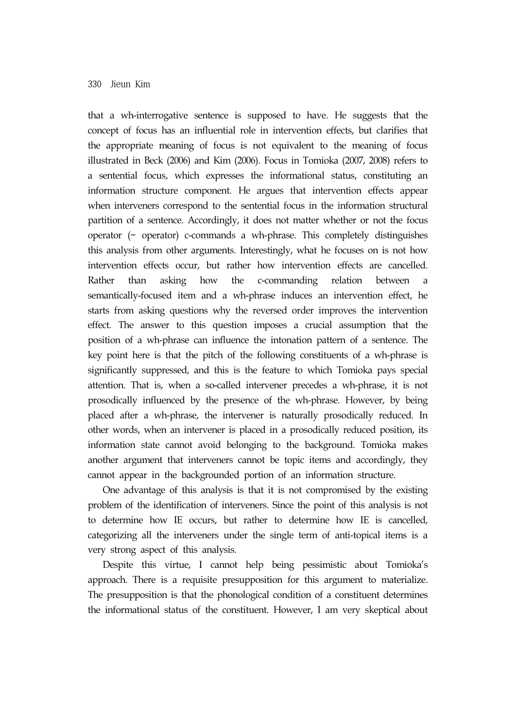that a wh-interrogative sentence is supposed to have. He suggests that the concept of focus has an influential role in intervention effects, but clarifies that the appropriate meaning of focus is not equivalent to the meaning of focus illustrated in Beck (2006) and Kim (2006). Focus in Tomioka (2007, 2008) refers to a sentential focus, which expresses the informational status, constituting an information structure component. He argues that intervention effects appear when interveners correspond to the sentential focus in the information structural partition of a sentence. Accordingly, it does not matter whether or not the focus operator (~ operator) c-commands a wh-phrase. This completely distinguishes this analysis from other arguments. Interestingly, what he focuses on is not how intervention effects occur, but rather how intervention effects are cancelled. Rather than asking how the c-commanding relation between semantically-focused item and a wh-phrase induces an intervention effect, he starts from asking questions why the reversed order improves the intervention effect. The answer to this question imposes a crucial assumption that the position of a wh-phrase can influence the intonation pattern of a sentence. The key point here is that the pitch of the following constituents of a wh-phrase is significantly suppressed, and this is the feature to which Tomioka pays special attention. That is, when a so-called intervener precedes a wh-phrase, it is not prosodically influenced by the presence of the wh-phrase. However, by being placed after a wh-phrase, the intervener is naturally prosodically reduced. In other words, when an intervener is placed in a prosodically reduced position, its information state cannot avoid belonging to the background. Tomioka makes another argument that interveners cannot be topic items and accordingly, they cannot appear in the backgrounded portion of an information structure.

One advantage of this analysis is that it is not compromised by the existing problem of the identification of interveners. Since the point of this analysis is not to determine how IE occurs, but rather to determine how IE is cancelled, categorizing all the interveners under the single term of anti-topical items is a very strong aspect of this analysis.

Despite this virtue, I cannot help being pessimistic about Tomioka's approach. There is a requisite presupposition for this argument to materialize. The presupposition is that the phonological condition of a constituent determines the informational status of the constituent. However, I am very skeptical about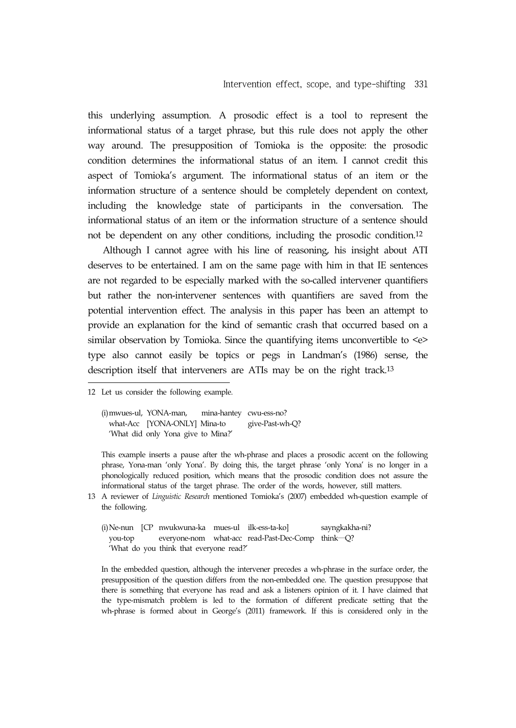this underlying assumption. A prosodic effect is a tool to represent the informational status of a target phrase, but this rule does not apply the other way around. The presupposition of Tomioka is the opposite: the prosodic condition determines the informational status of an item. I cannot credit this aspect of Tomioka's argument. The informational status of an item or the information structure of a sentence should be completely dependent on context, including the knowledge state of participants in the conversation. The informational status of an item or the information structure of a sentence should not be dependent on any other conditions, including the prosodic condition.12

Although I cannot agree with his line of reasoning, his insight about ATI deserves to be entertained. I am on the same page with him in that IE sentences are not regarded to be especially marked with the so-called intervener quantifiers but rather the non-intervener sentences with quantifiers are saved from the potential intervention effect. The analysis in this paper has been an attempt to provide an explanation for the kind of semantic crash that occurred based on a similar observation by Tomioka. Since the quantifying items unconvertible to  $\leq e$ type also cannot easily be topics or pegs in Landman's (1986) sense, the description itself that interveners are ATIs may be on the right track.13

(i)mwues-ul, YONA-man, mina-hantey cwu-ess-no? what-Acc [YONA-ONLY] Mina-to give-Past-wh-Q? 'What did only Yona give to Mina?'

This example inserts a pause after the wh-phrase and places a prosodic accent on the following phrase, Yona-man 'only Yona'. By doing this, the target phrase 'only Yona' is no longer in a phonologically reduced position, which means that the prosodic condition does not assure the informational status of the target phrase. The order of the words, however, still matters.

- 13 A reviewer of *Linguistic Research* mentioned Tomioka's (2007) embedded wh-question example of the following.
	- (i)Ne-nun [CP nwukwuna-ka mues-ul ilk-ess-ta-ko] sayngkakha-ni? you-top everyone-nom what-acc read-Past-Dec-Comp think—Q? 'What do you think that everyone read?'

In the embedded question, although the intervener precedes a wh-phrase in the surface order, the presupposition of the question differs from the non-embedded one. The question presuppose that there is something that everyone has read and ask a listeners opinion of it. I have claimed that the type-mismatch problem is led to the formation of different predicate setting that the wh-phrase is formed about in George's (2011) framework. If this is considered only in the

<sup>12</sup> Let us consider the following example.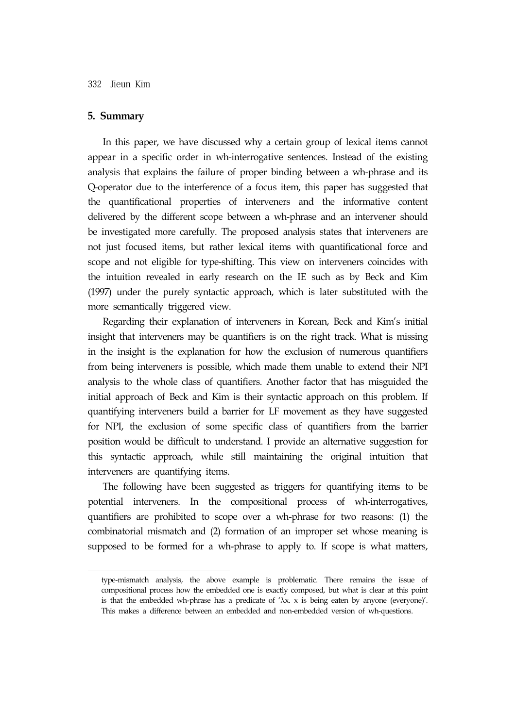#### **5. Summary**

In this paper, we have discussed why a certain group of lexical items cannot appear in a specific order in wh-interrogative sentences. Instead of the existing analysis that explains the failure of proper binding between a wh-phrase and its Q-operator due to the interference of a focus item, this paper has suggested that the quantificational properties of interveners and the informative content delivered by the different scope between a wh-phrase and an intervener should be investigated more carefully. The proposed analysis states that interveners are not just focused items, but rather lexical items with quantificational force and scope and not eligible for type-shifting. This view on interveners coincides with the intuition revealed in early research on the IE such as by Beck and Kim (1997) under the purely syntactic approach, which is later substituted with the more semantically triggered view.

Regarding their explanation of interveners in Korean, Beck and Kim's initial insight that interveners may be quantifiers is on the right track. What is missing in the insight is the explanation for how the exclusion of numerous quantifiers from being interveners is possible, which made them unable to extend their NPI analysis to the whole class of quantifiers. Another factor that has misguided the initial approach of Beck and Kim is their syntactic approach on this problem. If quantifying interveners build a barrier for LF movement as they have suggested for NPI, the exclusion of some specific class of quantifiers from the barrier position would be difficult to understand. I provide an alternative suggestion for this syntactic approach, while still maintaining the original intuition that interveners are quantifying items.

The following have been suggested as triggers for quantifying items to be potential interveners. In the compositional process of wh-interrogatives, quantifiers are prohibited to scope over a wh-phrase for two reasons: (1) the combinatorial mismatch and (2) formation of an improper set whose meaning is supposed to be formed for a wh-phrase to apply to. If scope is what matters,

type-mismatch analysis, the above example is problematic. There remains the issue of compositional process how the embedded one is exactly composed, but what is clear at this point is that the embedded wh-phrase has a predicate of  $\lambda x$ . x is being eaten by anyone (everyone)'. This makes a difference between an embedded and non-embedded version of wh-questions.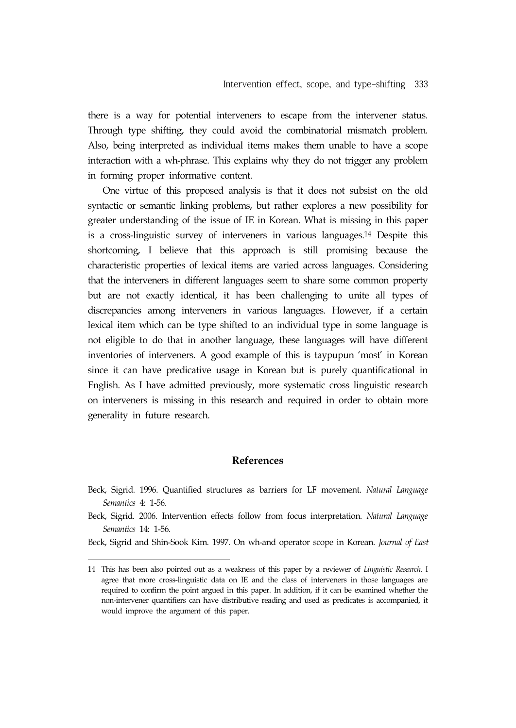there is a way for potential interveners to escape from the intervener status. Through type shifting, they could avoid the combinatorial mismatch problem. Also, being interpreted as individual items makes them unable to have a scope interaction with a wh-phrase. This explains why they do not trigger any problem in forming proper informative content.

One virtue of this proposed analysis is that it does not subsist on the old syntactic or semantic linking problems, but rather explores a new possibility for greater understanding of the issue of IE in Korean. What is missing in this paper is a cross-linguistic survey of interveners in various languages.14 Despite this shortcoming, I believe that this approach is still promising because the characteristic properties of lexical items are varied across languages. Considering that the interveners in different languages seem to share some common property but are not exactly identical, it has been challenging to unite all types of discrepancies among interveners in various languages. However, if a certain lexical item which can be type shifted to an individual type in some language is not eligible to do that in another language, these languages will have different inventories of interveners. A good example of this is taypupun 'most' in Korean since it can have predicative usage in Korean but is purely quantificational in English. As I have admitted previously, more systematic cross linguistic research on interveners is missing in this research and required in order to obtain more generality in future research.

## **References**

- Beck, Sigrid. 1996. Quantified structures as barriers for LF movement. *Natural Language Semantics* 4: 1-56.
- Beck, Sigrid. 2006. Intervention effects follow from focus interpretation. *Natural Language Semantics* 14: 1-56.
- Beck, Sigrid and Shin-Sook Kim. 1997. On wh-and operator scope in Korean. *Journal of East*

<sup>14</sup> This has been also pointed out as a weakness of this paper by a reviewer of *Linguistic Research*. I agree that more cross-linguistic data on IE and the class of interveners in those languages are required to confirm the point argued in this paper. In addition, if it can be examined whether the non-intervener quantifiers can have distributive reading and used as predicates is accompanied, it would improve the argument of this paper.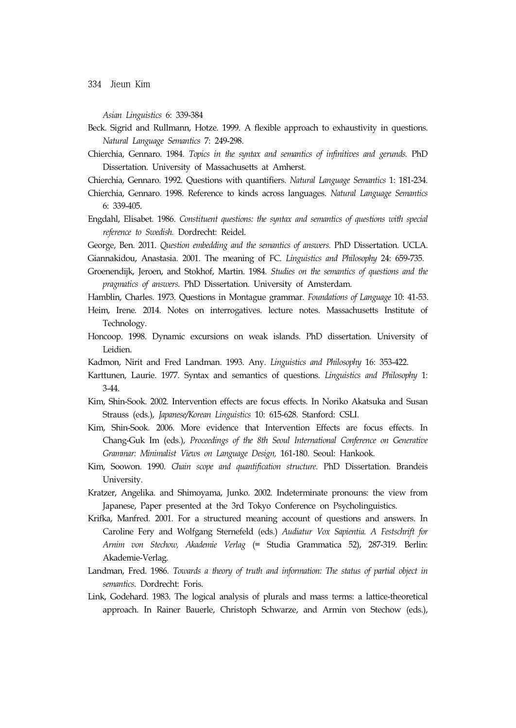*Asian Linguistics* 6: 339-384

- Beck. Sigrid and Rullmann, Hotze. 1999. A flexible approach to exhaustivity in questions. *Natural Language Semantics* 7: 249-298.
- Chierchia, Gennaro. 1984. *Topics in the syntax and semantics of infinitives and gerunds.* PhD Dissertation. University of Massachusetts at Amherst.
- Chierchia, Gennaro. 1992. Questions with quantifiers. *Natural Language Semantics* 1: 181-234.
- Chierchia, Gennaro. 1998. Reference to kinds across languages. *Natural Language Semantics* 6: 339-405.
- Engdahl, Elisabet. 1986. *Constituent questions: the syntax and semantics of questions with special reference to Swedish.* Dordrecht: Reidel.
- George, Ben. 2011. *Question embedding and the semantics of answers.* PhD Dissertation. UCLA.
- Giannakidou, Anastasia. 2001. The meaning of FC. *Linguistics and Philosophy* 24: 659-735.
- Groenendijk, Jeroen, and Stokhof, Martin. 1984. *Studies on the semantics of questions and the pragmatics of answers.* PhD Dissertation. University of Amsterdam.
- Hamblin, Charles. 1973. Questions in Montague grammar. *Foundations of Language* 10: 41-53.
- Heim, Irene. 2014. Notes on interrogatives. lecture notes. Massachusetts Institute of Technology.
- Honcoop. 1998. Dynamic excursions on weak islands. PhD dissertation. University of Leidien.
- Kadmon, Nirit and Fred Landman. 1993. Any. *Linguistics and Philosophy* 16: 353-422.
- Karttunen, Laurie. 1977. Syntax and semantics of questions. *Linguistics and Philosophy* 1: 3-44.
- Kim, Shin-Sook. 2002. Intervention effects are focus effects. In Noriko Akatsuka and Susan Strauss (eds.), *Japanese/Korean Linguistics* 10: 615-628. Stanford: CSLI.
- Kim, Shin-Sook. 2006. More evidence that Intervention Effects are focus effects. In Chang-Guk Im (eds.), *Proceedings of the 8th Seoul International Conference on Generative Grammar: Minimalist Views on Language Design,* 161-180. Seoul: Hankook.
- Kim, Soowon. 1990. *Chain scope and quantification structure*. PhD Dissertation. Brandeis University.
- Kratzer, Angelika. and Shimoyama, Junko. 2002. Indeterminate pronouns: the view from Japanese, Paper presented at the 3rd Tokyo Conference on Psycholinguistics.
- Krifka, Manfred. 2001. For a structured meaning account of questions and answers. In Caroline Fery and Wolfgang Sternefeld (eds.) *Audiatur Vox Sapientia. A Festschrift for Arnim von Stechow, Akademie Verlag* (= Studia Grammatica 52), 287-319. Berlin: Akademie-Verlag.
- Landman, Fred. 1986. *Towards a theory of truth and information: The status of partial object in semantics*. Dordrecht: Foris.
- Link, Godehard. 1983. The logical analysis of plurals and mass terms: a lattice-theoretical approach. In Rainer Bauerle, Christoph Schwarze, and Armin von Stechow (eds.),